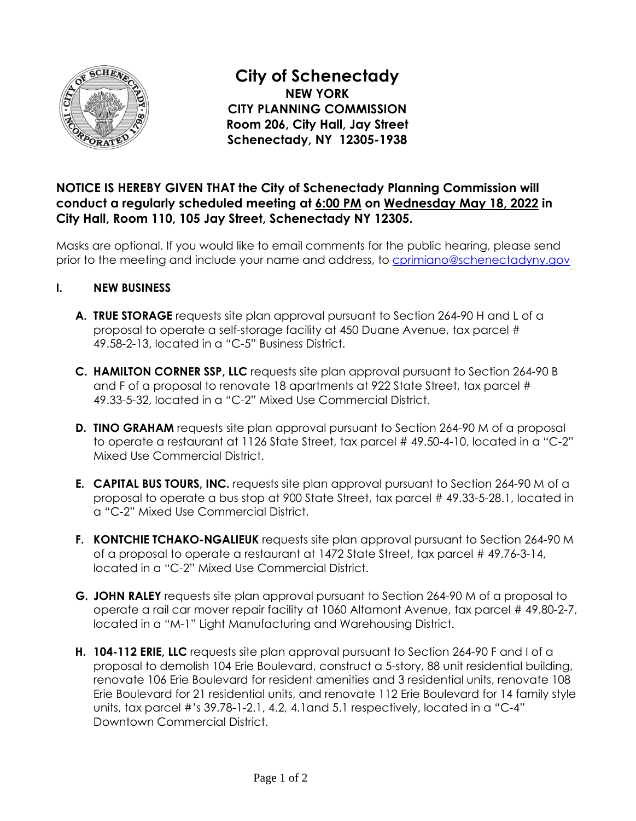

**City of Schenectady NEW YORK CITY PLANNING COMMISSION Room 206, City Hall, Jay Street Schenectady, NY 12305-1938** 

## **NOTICE IS HEREBY GIVEN THAT the City of Schenectady Planning Commission will conduct a regularly scheduled meeting at 6:00 PM on Wednesday May 18, 2022 in City Hall, Room 110, 105 Jay Street, Schenectady NY 12305.**

Masks are optional. If you would like to email comments for the public hearing, please send prior to the meeting and include your name and address, t[o cprimiano@schenectadyny.gov](mailto:cprimiano@schenectadyny.gov)

- **I. NEW BUSINESS** 
	- **A. TRUE STORAGE** requests site plan approval pursuant to Section 264-90 H and L of a proposal to operate a self-storage facility at 450 Duane Avenue, tax parcel # 49.58-2-13, located in a "C-5" Business District.
	- **C. HAMILTON CORNER SSP, LLC** requests site plan approval pursuant to Section 264-90 B and F of a proposal to renovate 18 apartments at 922 State Street, tax parcel # 49.33-5-32, located in a "C-2" Mixed Use Commercial District.
	- **D. TINO GRAHAM** requests site plan approval pursuant to Section 264-90 M of a proposal to operate a restaurant at 1126 State Street, tax parcel # 49.50-4-10, located in a "C-2" Mixed Use Commercial District.
	- **E. CAPITAL BUS TOURS, INC.** requests site plan approval pursuant to Section 264-90 M of a proposal to operate a bus stop at 900 State Street, tax parcel # 49.33-5-28.1, located in a "C-2" Mixed Use Commercial District.
	- **F. KONTCHIE TCHAKO-NGALIEUK** requests site plan approval pursuant to Section 264-90 M of a proposal to operate a restaurant at 1472 State Street, tax parcel # 49.76-3-14, located in a "C-2" Mixed Use Commercial District.
	- **G. JOHN RALEY** requests site plan approval pursuant to Section 264-90 M of a proposal to operate a rail car mover repair facility at 1060 Altamont Avenue, tax parcel # 49.80-2-7, located in a "M-1" Light Manufacturing and Warehousing District.
	- **H. 104-112 ERIE, LLC** requests site plan approval pursuant to Section 264-90 F and I of a proposal to demolish 104 Erie Boulevard, construct a 5-story, 88 unit residential building, renovate 106 Erie Boulevard for resident amenities and 3 residential units, renovate 108 Erie Boulevard for 21 residential units, and renovate 112 Erie Boulevard for 14 family style units, tax parcel #'s 39.78-1-2.1, 4.2, 4.1and 5.1 respectively, located in a "C-4" Downtown Commercial District.